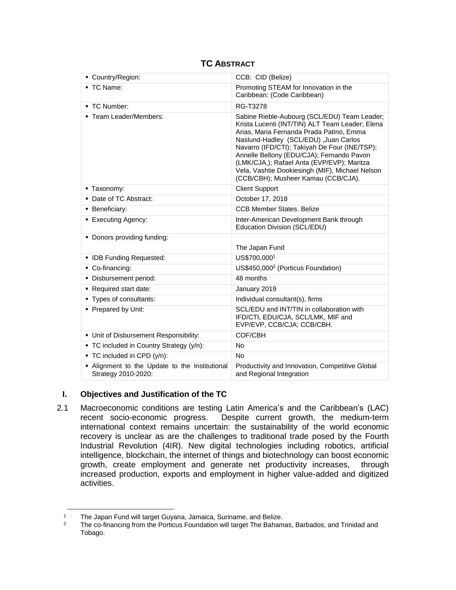| Country/Region:                                                       | CCB: CID (Belize)                                                                                                                                                                                                                                                                                                                                                                                                           |
|-----------------------------------------------------------------------|-----------------------------------------------------------------------------------------------------------------------------------------------------------------------------------------------------------------------------------------------------------------------------------------------------------------------------------------------------------------------------------------------------------------------------|
| ■ TC Name:                                                            | Promoting STEAM for Innovation in the<br>Caribbean: (Code Caribbean)                                                                                                                                                                                                                                                                                                                                                        |
| • TC Number:                                                          | RG-T3278                                                                                                                                                                                                                                                                                                                                                                                                                    |
| • Team Leader/Members:                                                | Sabine Rieble-Aubourg (SCL/EDU) Team Leader;<br>Krista Lucenti (INT/TIN) ALT Team Leader; Elena<br>Arias, Maria Fernanda Prada Patino, Emma<br>Naslund-Hadley (SCL/EDU) , Juan Carlos<br>Navarro (IFD/CTI); Takiyah De Four (INE/TSP);<br>Annelle Bellony (EDU/CJA); Fernando Pavon<br>(LMK/CJA,); Rafael Anta (EVP/EVP); Maritza<br>Vela, Vashtie Dookiesingh (MIF), Michael Nelson<br>(CCB/CBH); Musheer Kamau (CCB/CJA). |
| • Taxonomy:                                                           | <b>Client Support</b>                                                                                                                                                                                                                                                                                                                                                                                                       |
| • Date of TC Abstract:                                                | October 17, 2018                                                                                                                                                                                                                                                                                                                                                                                                            |
| <b>Beneficiary:</b>                                                   | <b>CCB Member States. Belize</b>                                                                                                                                                                                                                                                                                                                                                                                            |
| <b>Executing Agency:</b>                                              | Inter-American Development Bank through<br>Education Division (SCL/EDU)                                                                                                                                                                                                                                                                                                                                                     |
| • Donors providing funding:                                           | The Japan Fund                                                                                                                                                                                                                                                                                                                                                                                                              |
| • IDB Funding Requested:                                              | US\$700,0001                                                                                                                                                                                                                                                                                                                                                                                                                |
| • Co-financing:                                                       | US\$450,000 <sup>2</sup> (Porticus Foundation)                                                                                                                                                                                                                                                                                                                                                                              |
| · Disbursement period:                                                | 48 months                                                                                                                                                                                                                                                                                                                                                                                                                   |
| Required start date:                                                  | January 2019                                                                                                                                                                                                                                                                                                                                                                                                                |
| • Types of consultants:                                               | Individual consultant(s), firms                                                                                                                                                                                                                                                                                                                                                                                             |
| • Prepared by Unit:                                                   | SCL/EDU and INT/TIN in collaboration with<br>IFD/CTI, EDU/CJA, SCL/LMK, MIF and<br>EVP/EVP, CCB/CJA; CCB/CBH.                                                                                                                                                                                                                                                                                                               |
| • Unit of Disbursement Responsibility:                                | COF/CBH                                                                                                                                                                                                                                                                                                                                                                                                                     |
| • TC included in Country Strategy (y/n):                              | <b>No</b>                                                                                                                                                                                                                                                                                                                                                                                                                   |
| ■ TC included in CPD (y/n):                                           | <b>No</b>                                                                                                                                                                                                                                                                                                                                                                                                                   |
| . Alignment to the Update to the Institutional<br>Strategy 2010-2020: | Productivity and Innovation, Competitive Global<br>and Regional Integration                                                                                                                                                                                                                                                                                                                                                 |

# **TC ABSTRACT**

# **I. Objectives and Justification of the TC**

2.1 Macroeconomic conditions are testing Latin America's and the Caribbean's (LAC) recent socio-economic progress. Despite current growth, the medium-term international context remains uncertain: the sustainability of the world economic recovery is unclear as are the challenges to traditional trade posed by the Fourth Industrial Revolution (4IR). New digital technologies including robotics, artificial intelligence, blockchain, the internet of things and biotechnology can boost economic growth, create employment and generate net productivity increases, through increased production, exports and employment in higher value-added and digitized activities.

 $\overline{\phantom{a}}$ <sup>1</sup> The Japan Fund will target Guyana, Jamaica, Suriname, and Belize.<br><sup>2</sup> The se financing from the Pertiaus Foundation will target The Pehem

<sup>2</sup> The co-financing from the Porticus Foundation will target The Bahamas, Barbados, and Trinidad and Tobago.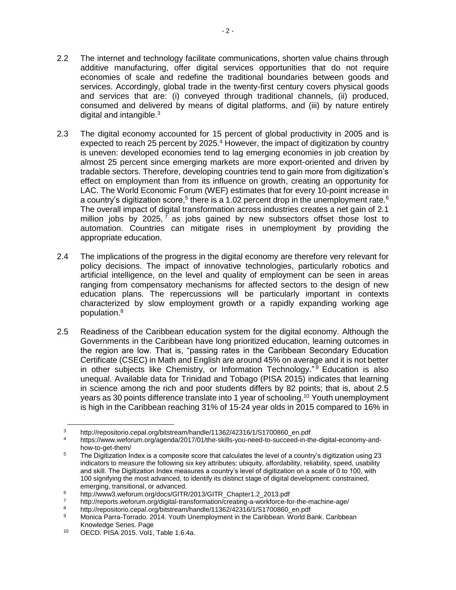- 2.2 The internet and technology facilitate communications, shorten value chains through additive manufacturing, offer digital services opportunities that do not require economies of scale and redefine the traditional boundaries between goods and services. Accordingly, global trade in the twenty-first century covers physical goods and services that are: (i) conveyed through traditional channels, (ii) produced, consumed and delivered by means of digital platforms, and (iii) by nature entirely digital and intangible.<sup>3</sup>
- 2.3 The digital economy accounted for 15 percent of global productivity in 2005 and is expected to reach 25 percent by 2025.<sup>4</sup> However, the impact of digitization by country is uneven: developed economies tend to lag emerging economies in job creation by almost 25 percent since emerging markets are more export-oriented and driven by tradable sectors. Therefore, developing countries tend to gain more from digitization's effect on employment than from its influence on growth, creating an opportunity for LAC. The World Economic Forum (WEF) estimates that for every 10-point increase in a country's digitization score,<sup>5</sup> there is a 1.02 percent drop in the unemployment rate.<sup>6</sup> The overall impact of digital transformation across industries creates a net gain of 2.1 million jobs by 2025,  $7$  as jobs gained by new subsectors offset those lost to automation. Countries can mitigate rises in unemployment by providing the appropriate education.
- 2.4 The implications of the progress in the digital economy are therefore very relevant for policy decisions. The impact of innovative technologies, particularly robotics and artificial intelligence, on the level and quality of employment can be seen in areas ranging from compensatory mechanisms for affected sectors to the design of new education plans. The repercussions will be particularly important in contexts characterized by slow employment growth or a rapidly expanding working age population.<sup>8</sup>
- 2.5 Readiness of the Caribbean education system for the digital economy. Although the Governments in the Caribbean have long prioritized education, learning outcomes in the region are low. That is, "passing rates in the Caribbean Secondary Education Certificate (CSEC) in Math and English are around 45% on average and it is not better in other subjects like Chemistry, or Information Technology." <sup>9</sup> Education is also unequal. Available data for Trinidad and Tobago (PISA 2015) indicates that learning in science among the rich and poor students differs by 82 points; that is, about 2.5 years as 30 points difference translate into 1 year of schooling.<sup>10</sup> Youth unemployment is high in the Caribbean reaching 31% of 15-24 year olds in 2015 compared to 16% in

l <sup>3</sup> http://repositorio.cepal.org/bitstream/handle/11362/42316/1/S1700860\_en.pdf<br><sup>4</sup> https://www.ugfarum.cra/gaanda/2017/01/be.ekille.you.paad.ta.guggaad.in.th

https://www.weforum.org/agenda/2017/01/the-skills-you-need-to-succeed-in-the-digital-economy-andhow-to-get-them/

<sup>&</sup>lt;sup>5</sup> The Digitization Index is a composite score that calculates the level of a country's digitization using 23 indicators to measure the following six key attributes: ubiquity, affordability, reliability, speed, usability and skill. The Digitization Index measures a country's level of digitization on a scale of 0 to 100, with 100 signifying the most advanced, to identify its distinct stage of digital development: constrained, emerging, transitional, or advanced.

<sup>6</sup> http://www3.weforum.org/docs/GITR/2013/GITR\_Chapter1.2\_2013.pdf

<sup>7</sup> http://reports.weforum.org/digital-transformation/creating-a-workforce-for-the-machine-age/<br>http://reports.weforum.org/digital-transformation/creating-a-workforce-for-the-machine-age/

<sup>8</sup> http://repositorio.cepal.org/bitstream/handle/11362/42316/1/S1700860\_en.pdf<br>Menice Barre Terrede, 2014, Youth Unemployment in the Caribbean, World B

Monica Parra-Torrado. 2014. Youth Unemployment in the Caribbean. World Bank. Caribbean Knowledge Series. Page

<sup>10</sup> OECD. PISA 2015. Vol1, Table 1.6.4a.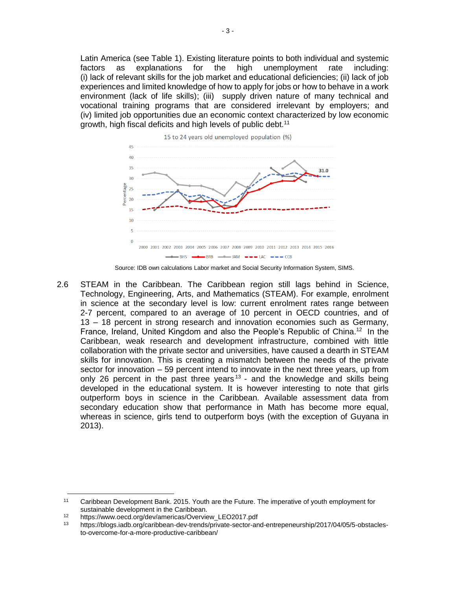Latin America (see Table 1). Existing literature points to both individual and systemic factors as explanations for the high unemployment rate including: (i) lack of relevant skills for the job market and educational deficiencies; (ii) lack of job experiences and limited knowledge of how to apply for jobs or how to behave in a work environment (lack of life skills); (iii) supply driven nature of many technical and vocational training programs that are considered irrelevant by employers; and (iv) limited job opportunities due an economic context characterized by low economic growth, high fiscal deficits and high levels of public debt.<sup>11</sup>



Source: IDB own calculations Labor market and Social Security Information System, SIMS.

2.6 STEAM in the Caribbean. The Caribbean region still lags behind in Science, Technology, Engineering, Arts, and Mathematics (STEAM). For example, enrolment in science at the secondary level is low: current enrolment rates range between 2-7 percent, compared to an average of 10 percent in OECD countries, and of 13 – 18 percent in strong research and innovation economies such as Germany, France, Ireland, United Kingdom and also the People's Republic of China.<sup>12</sup> In the Caribbean, weak research and development infrastructure, combined with little collaboration with the private sector and universities, have caused a dearth in STEAM skills for innovation. This is creating a mismatch between the needs of the private sector for innovation – 59 percent intend to innovate in the next three years, up from only 26 percent in the past three years<sup>13</sup> - and the knowledge and skills being developed in the educational system. It is however interesting to note that girls outperform boys in science in the Caribbean. Available assessment data from secondary education show that performance in Math has become more equal, whereas in science, girls tend to outperform boys (with the exception of Guyana in 2013).

 $\overline{\phantom{a}}$ 

<sup>11</sup> Caribbean Development Bank. 2015. Youth are the Future. The imperative of youth employment for sustainable development in the Caribbean.

<sup>12</sup> https://www.oecd.org/dev/americas/Overview\_LEO2017.pdf<br>13 https://blogs.jpdb.org/orgibberg.dov.trande/private.godor.org

<sup>13</sup> https://blogs.iadb.org/caribbean-dev-trends/private-sector-and-entrepeneurship/2017/04/05/5-obstaclesto-overcome-for-a-more-productive-caribbean/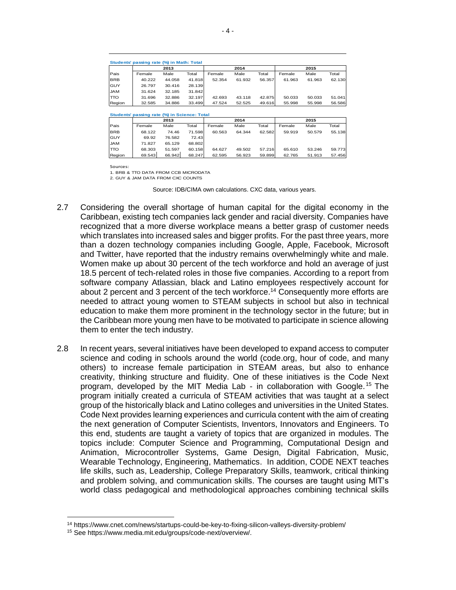|            | Students' passing rate (%) in Math: Total    |        |        |        |        |        |        |        |        |
|------------|----------------------------------------------|--------|--------|--------|--------|--------|--------|--------|--------|
|            | 2014<br>2013                                 |        |        | 2015   |        |        |        |        |        |
| Pais       | Female                                       | Male   | Total  | Female | Male   | Total  | Female | Male   | Total  |
| <b>BRB</b> | 40.222                                       | 44.058 | 41.818 | 52.354 | 61.932 | 56.357 | 61.963 | 61.963 | 62.130 |
| GUY        | 26.797                                       | 30.416 | 28.139 |        |        |        |        |        |        |
| MAL        | 31.624                                       | 32.185 | 31.842 |        |        |        |        |        |        |
| TTO        | 31.696                                       | 32.886 | 32.197 | 42.693 | 43.118 | 42.875 | 50.033 | 50.033 | 51.041 |
| Region     | 32.585                                       | 34.886 | 33.499 | 47.524 | 52.525 | 49.616 | 55.998 | 55.998 | 56.586 |
|            |                                              |        |        |        |        |        |        |        |        |
|            | Students' passing rate (%) in Science: Total |        |        |        |        |        |        |        |        |
|            |                                              | 2013   |        | 2014   |        | 2015   |        |        |        |
| Pais       | Female                                       | Male   | Total  | Female | Male   | Total  | Female | Male   | Total  |
| <b>BRB</b> | 68.122                                       | 74.46  | 71.598 | 60.563 | 64.344 | 62.582 | 59.919 | 50.579 | 55.138 |
| GUY        | 69.92                                        | 76.582 | 72.43  |        |        |        |        |        |        |
| MAL        | 71.827                                       | 65.129 | 68.802 |        |        |        |        |        |        |
| TTO        | 68.303                                       | 51.597 | 60.158 | 64.627 | 49.502 | 57.216 | 65.610 | 53.246 | 59.773 |

Region 69.543 66.942 68.247 62.595 56.923 59.899 62.765 51.913 57.456

Sources:

1. BRB & TTO DATA FROM CCB MICRODATA

2. GUY & JAM DATA FROM CXC COUNTS

Source: IDB/CIMA own calculations. CXC data, various years.

- 2.7 Considering the overall shortage of human capital for the digital economy in the Caribbean, existing tech companies lack gender and racial diversity. Companies have recognized that a more diverse workplace means a better grasp of customer needs which translates into increased sales and bigger profits. For the past three years, more than a dozen technology companies including Google, Apple, Facebook, Microsoft and Twitter, have reported that the industry remains overwhelmingly white and male. Women make up about 30 percent of the tech workforce and hold an average of just 18.5 percent of tech-related roles in those five companies. According to a report from software company Atlassian, black and Latino employees respectively account for about 2 percent and 3 percent of the tech workforce.<sup>14</sup> Consequently more efforts are needed to attract young women to STEAM subjects in school but also in technical education to make them more prominent in the technology sector in the future; but in the Caribbean more young men have to be motivated to participate in science allowing them to enter the tech industry.
- 2.8 In recent years, several initiatives have been developed to expand access to computer science and coding in schools around the world (code.org, hour of code, and many others) to increase female participation in STEAM areas, but also to enhance creativity, thinking structure and fluidity. One of these initiatives is the Code Next program, developed by the MIT Media Lab - in collaboration with Google. <sup>15</sup> The program initially created a curricula of STEAM activities that was taught at a select group of the historically black and Latino colleges and universities in the United States. Code Next provides learning experiences and curricula content with the aim of creating the next generation of Computer Scientists, Inventors, Innovators and Engineers. To this end, students are taught a variety of topics that are organized in modules. The topics include: Computer Science and Programming, Computational Design and Animation, Microcontroller Systems, Game Design, Digital Fabrication, Music, Wearable Technology, Engineering, Mathematics. In addition, CODE NEXT teaches life skills, such as, Leadership, College Preparatory Skills, teamwork, critical thinking and problem solving, and communication skills. The courses are taught using MIT's world class pedagogical and methodological approaches combining technical skills

 $\overline{\phantom{a}}$ 

<sup>14</sup> https://www.cnet.com/news/startups-could-be-key-to-fixing-silicon-valleys-diversity-problem/

<sup>15</sup> See https://www.media.mit.edu/groups/code-next/overview/.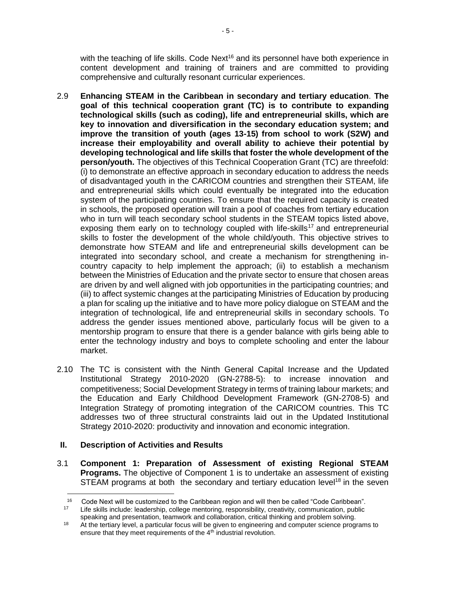with the teaching of life skills. Code Next<sup>16</sup> and its personnel have both experience in content development and training of trainers and are committed to providing comprehensive and culturally resonant curricular experiences.

- 2.9 **Enhancing STEAM in the Caribbean in secondary and tertiary education**. **The goal of this technical cooperation grant (TC) is to contribute to expanding technological skills (such as coding), life and entrepreneurial skills, which are key to innovation and diversification in the secondary education system; and improve the transition of youth (ages 13-15) from school to work (S2W) and increase their employability and overall ability to achieve their potential by developing technological and life skills that foster the whole development of the person/youth.** The objectives of this Technical Cooperation Grant (TC) are threefold: (i) to demonstrate an effective approach in secondary education to address the needs of disadvantaged youth in the CARICOM countries and strengthen their STEAM, life and entrepreneurial skills which could eventually be integrated into the education system of the participating countries. To ensure that the required capacity is created in schools, the proposed operation will train a pool of coaches from tertiary education who in turn will teach secondary school students in the STEAM topics listed above, exposing them early on to technology coupled with life-skills<sup>17</sup> and entrepreneurial skills to foster the development of the whole child/youth. This objective strives to demonstrate how STEAM and life and entrepreneurial skills development can be integrated into secondary school, and create a mechanism for strengthening incountry capacity to help implement the approach; (ii) to establish a mechanism between the Ministries of Education and the private sector to ensure that chosen areas are driven by and well aligned with job opportunities in the participating countries; and (iii) to affect systemic changes at the participating Ministries of Education by producing a plan for scaling up the initiative and to have more policy dialogue on STEAM and the integration of technological, life and entrepreneurial skills in secondary schools. To address the gender issues mentioned above, particularly focus will be given to a mentorship program to ensure that there is a gender balance with girls being able to enter the technology industry and boys to complete schooling and enter the labour market.
- 2.10 The TC is consistent with the Ninth General Capital Increase and the Updated Institutional Strategy 2010-2020 (GN-2788-5): to increase innovation and competitiveness; Social Development Strategy in terms of training labour markets; and the Education and Early Childhood Development Framework (GN-2708-5) and Integration Strategy of promoting integration of the CARICOM countries. This TC addresses two of three structural constraints laid out in the Updated Institutional Strategy 2010-2020: productivity and innovation and economic integration.

# **II. Description of Activities and Results**

 $\overline{\phantom{a}}$ 

3.1 **Component 1: Preparation of Assessment of existing Regional STEAM Programs.** The objective of Component 1 is to undertake an assessment of existing STEAM programs at both the secondary and tertiary education level<sup>18</sup> in the seven

<sup>16</sup> Code Next will be customized to the Caribbean region and will then be called "Code Caribbean". <sup>17</sup> Life skills include: leadership, college mentoring, responsibility, creativity, communication, public

speaking and presentation, teamwork and collaboration, critical thinking and problem solving. <sup>18</sup> At the tertiary level, a particular focus will be given to engineering and computer science programs to

ensure that they meet requirements of the 4<sup>th</sup> industrial revolution.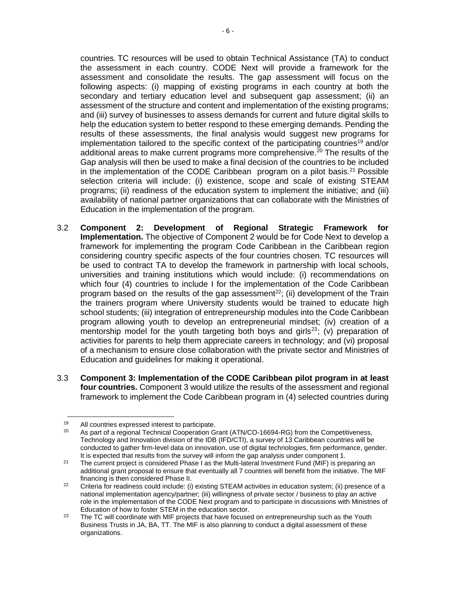countries. TC resources will be used to obtain Technical Assistance (TA) to conduct the assessment in each country. CODE Next will provide a framework for the assessment and consolidate the results. The gap assessment will focus on the following aspects: (i) mapping of existing programs in each country at both the secondary and tertiary education level and subsequent gap assessment; (ii) an assessment of the structure and content and implementation of the existing programs; and (iii) survey of businesses to assess demands for current and future digital skills to help the education system to better respond to these emerging demands. Pending the results of these assessments, the final analysis would suggest new programs for implementation tailored to the specific context of the participating countries<sup>19</sup> and/or additional areas to make current programs more comprehensive. <sup>20</sup> The results of the Gap analysis will then be used to make a final decision of the countries to be included in the implementation of the CODE Caribbean program on a pilot basis.<sup>21</sup> Possible selection criteria will include: (i) existence, scope and scale of existing STEAM programs; (ii) readiness of the education system to implement the initiative; and (iii) availability of national partner organizations that can collaborate with the Ministries of Education in the implementation of the program.

- 3.2 **Component 2: Development of Regional Strategic Framework for Implementation.** The objective of Component 2 would be for Code Next to develop a framework for implementing the program Code Caribbean in the Caribbean region considering country specific aspects of the four countries chosen. TC resources will be used to contract TA to develop the framework in partnership with local schools, universities and training institutions which would include: (i) recommendations on which four (4) countries to include I for the implementation of the Code Caribbean program based on the results of the gap assessment<sup>22</sup>; (ii) development of the Train the trainers program where University students would be trained to educate high school students; (iii) integration of entrepreneurship modules into the Code Caribbean program allowing youth to develop an entrepreneurial mindset; (iv) creation of a mentorship model for the youth targeting both boys and girls<sup>23</sup>; (v) preparation of activities for parents to help them appreciate careers in technology; and (vi) proposal of a mechanism to ensure close collaboration with the private sector and Ministries of Education and guidelines for making it operational.
- 3.3 **Component 3: Implementation of the CODE Caribbean pilot program in at least four countries.** Component 3 would utilize the results of the assessment and regional framework to implement the Code Caribbean program in (4) selected countries during

<sup>19</sup> <sup>19</sup> All countries expressed interest to participate.<br><sup>20</sup> As part of a regional Technical Cooperation G

As part of a regional Technical Cooperation Grant (ATN/CO-16694-RG) from the Competitiveness, Technology and Innovation division of the IDB (IFD/CTI), a survey of 13 Caribbean countries will be conducted to gather firm-level data on innovation, use of digital technologies, firm performance, gender. It is expected that results from the survey will inform the gap analysis under component 1.

<sup>&</sup>lt;sup>21</sup> The current project is considered Phase I as the Multi-lateral Investment Fund (MIF) is preparing an additional grant proposal to ensure that eventually all 7 countries will benefit from the initiative. The MIF financing is then considered Phase II.

<sup>&</sup>lt;sup>22</sup> Criteria for readiness could include: (i) existing STEAM activities in education system; (ii) presence of a national implementation agency/partner; (iii) willingness of private sector / business to play an active role in the implementation of the CODE Next program and to participate in discussions with Ministries of Education of how to foster STEM in the education sector.

 $23$  The TC will coordinate with MIF projects that have focused on entrepreneurship such as the Youth Business Trusts in JA, BA, TT. The MIF is also planning to conduct a digital assessment of these organizations.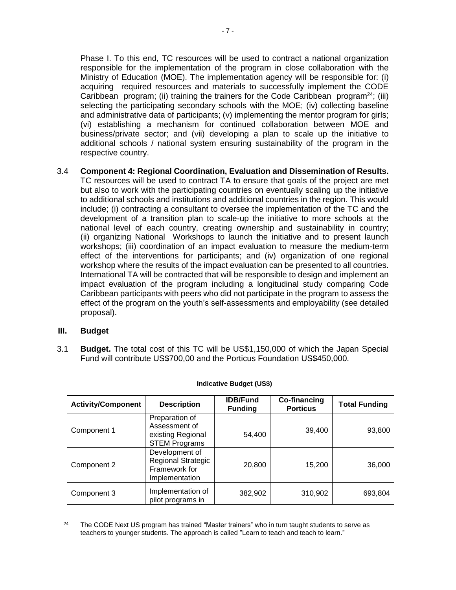Phase I. To this end, TC resources will be used to contract a national organization responsible for the implementation of the program in close collaboration with the Ministry of Education (MOE). The implementation agency will be responsible for: (i) acquiring required resources and materials to successfully implement the CODE Caribbean program; (ii) training the trainers for the Code Caribbean program<sup>24</sup>; (iii) selecting the participating secondary schools with the MOE; (iv) collecting baseline and administrative data of participants; (v) implementing the mentor program for girls; (vi) establishing a mechanism for continued collaboration between MOE and business/private sector; and (vii) developing a plan to scale up the initiative to additional schools / national system ensuring sustainability of the program in the respective country.

3.4 **Component 4: Regional Coordination, Evaluation and Dissemination of Results.** TC resources will be used to contract TA to ensure that goals of the project are met but also to work with the participating countries on eventually scaling up the initiative to additional schools and institutions and additional countries in the region. This would include; (i) contracting a consultant to oversee the implementation of the TC and the development of a transition plan to scale-up the initiative to more schools at the national level of each country, creating ownership and sustainability in country; (ii) organizing National Workshops to launch the initiative and to present launch workshops; (iii) coordination of an impact evaluation to measure the medium-term effect of the interventions for participants; and (iv) organization of one regional workshop where the results of the impact evaluation can be presented to all countries. International TA will be contracted that will be responsible to design and implement an impact evaluation of the program including a longitudinal study comparing Code Caribbean participants with peers who did not participate in the program to assess the effect of the program on the youth's self-assessments and employability (see detailed proposal).

### **III. Budget**

3.1 **Budget.** The total cost of this TC will be US\$1,150,000 of which the Japan Special Fund will contribute US\$700,00 and the Porticus Foundation US\$450,000.

| <b>Activity/Component</b> | <b>Description</b>                                                             | <b>IDB/Fund</b><br><b>Funding</b> | <b>Co-financing</b><br><b>Porticus</b> | <b>Total Funding</b> |
|---------------------------|--------------------------------------------------------------------------------|-----------------------------------|----------------------------------------|----------------------|
| Component 1               | Preparation of<br>Assessment of<br>existing Regional<br><b>STEM Programs</b>   | 54,400                            | 39,400                                 | 93,800               |
| Component 2               | Development of<br><b>Regional Strategic</b><br>Framework for<br>Implementation | 20,800                            | 15,200                                 | 36,000               |
| Component 3               | Implementation of<br>pilot programs in                                         | 382,902                           | 310,902                                | 693,804              |

#### **Indicative Budget (US\$)**

 $24$ The CODE Next US program has trained "Master trainers" who in turn taught students to serve as teachers to younger students. The approach is called "Learn to teach and teach to learn."